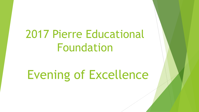# 2017 Pierre Educational Foundation

# Evening of Excellence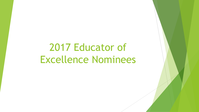# 2017 Educator of Excellence Nominees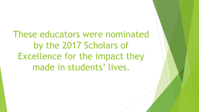These educators were nominated by the 2017 Scholars of Excellence for the impact they made in students' lives.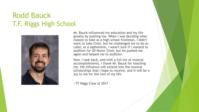#### Rodd Bauck T.F. Riggs High School



Mr. Bauck influenced my education and my life greatly by pushing me. When I was deciding what classes to take as a high school freshman, I didn't want to take Choir, but he challenged me to do so. Later, as a sophomore, I wasn't sure if l wanted to audition for SD Honor Choir, but he pushed me again and helped me to audition.

Now, I look back, and with a full list of musical accomplishments, I thank Mr. Bauck for teaching me. His influence will extend into the musical scholarships that I hope to receive, and it will be a joy to me for the rest of my life.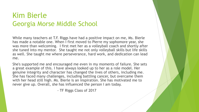### Kim Bierle Georgia Morse Middle School

While many teachers at T.F. Riggs have had a positive impact on me, Ms. Bierle has made a notable one. When I first moved to Pierre my sophomore year, she was more than welcoming. I first met her as a volleyball coach and shortly after she tuned into my mentor. She taught me not only volleyball skills but life skills as well. She taught me where perseverance, hard work, and dedication can lead me.

She's supported me and encouraged me even in my moments of failure. She sets a great example of this. I have always looked up to her as a role model. Her genuine integrity and character has changed the lives of others, including me. She has faced many challenges, including battling cancer, but overcame them with her head still high. Ms. Bierle is an inspiration. She has motivated me to never give up. Overall, she has influenced the person I am today.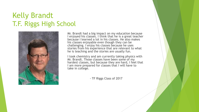### Kelly Brandt T.F. Riggs High School



Mr. Brandt had a big impact on my education because I enjoyed his classes. I think that he is a great teacher because I learned a lot in his classes. He also makes his classes enjoyable even though they can be challenging. I enjoy his classes because he uses stories from his experience that are relevant to what he is teaching and the stories are usually fun.

I took chemistry and am currently taking physics with Mr. Brandt. Those classes have been some of my hardest classes, but because they are hard, I feel that I am more prepared for classes that I will have to take in college.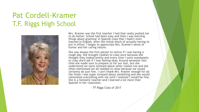#### Pat Cordell-Kramer T.F. Riggs High School



Mrs. Kramer was the first teacher I had that really pushed me to do better. School had been easy and then I was learning things about grammar in Spanish class that I hadn't even learned in English. After the initial shock of actually having to put in effort, I began to appreciate Mrs. Kramer's sense of humor and her caring nature.

She was always the first person to notice if l was having a rough day. She brought cookies to class once because she thought they looked pretty and every time I wore sweatpants to class she'd ask if l was feeling okay. Around semester test time she made sure to prepare us for our test, but she understood we were stressed about other classes too and she often mentioned we all needed to relax because we would certainly do just fine. I can't thank Mrs. Kramer enough for all the times I was super stressed about something and she would rationalize everything with me until I realized I would be fine. She is a fantastic teacher and I learned a lot more than Spanish in her classroom.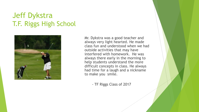# Jeff Dykstra T.F. Riggs High School



Mr. Dykstra was a good teacher and always very light hearted. He made class fun and understood when we had outside activities that may have interfered with homework. He was always there early in the morning to help students understand the more difficult concepts in class. He always had time for a laugh and a nickname to make you smile.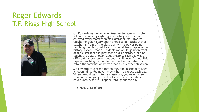# Roger Edwards T.F. Riggs High School



Mr. Edwards was an amazing teacher to have in middle school. He was my eighth grade history teacher, and I enjoyed every moment in his classroom. Mr. Edwards taught me that history doesn't need to be taught with a teacher in front of the classroom with a power point teaching the class, but to act out what truly happened in history. I loved, that as students we would go up in front of the classroom and play scene out of history while he taught the class a lesson about history. Each day was a different history lesson, but ones I will never forget. This type of teaching method helped me to comprehend and retain the information better than in any other classroom.

Mr. Edwards taught me that in life, and in school to keep an open mind. You never know what to expect each day. When I would walk into his classroom, you never knew what we were going to act out in class, and in life you never know what will happen throughout the day.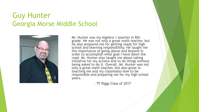#### Guy Hunter Georgia Morse Middle School



Mr. Hunter was my Algebra 1 teacher in 8th grade. He was not only a great math teacher, but he also prepared me for getting ready for high school and learning responsibility. He taught me the importance of going above and beyond in order to accomplish what goal I have down the road. Mr. Hunter also taught me about taking initiative for my actions and to do things without being asked to do it. Overall, Mr. Hunter was not only a great math teacher, but also great in teaching me and my classmates how to be responsible and preparing me for my high school years.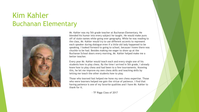#### Kim Kahler Buchanan Elementary



Mr. Kahler was my 5th grade teacher at Buchanan Elementary. He blended his humor into every subject he taught. He would make puns off of state names while going over geography. While he was reading to the class, Mr. Kahler would try to use different accents to represent each speaker during dialogue even if a little old lady happened to be speaking. I looked forward to going to school, because I knew there was chuckle to be had. Besides making me eager to show up at the Buchanan School doors every morning, Mr. Kahler helped make me a better teacher.

Every year Mr. Kahler would teach each and every single one of his students how to play chess. By the time I arrived in 5th grade, I already knew how to play chess and had been to a few tournaments. Knowing this, he let me improve my own chess skills and teaching skills by letting me teach the other students how to play.

Those who learned fast helped me hone my own chess expertise. Those who were learners helped me gain the virtue of patience. I find that having patience is one of my favorite qualities and I have Mr. Kahler to thank for it.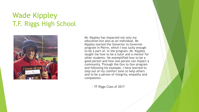# Wade Kippley T.F. Riggs High School



Mr. Kippley has impacted not only my education but also as an individual. Mr. Kippley started the Governor to Governor program in Pierre, which I was lucky enough to be a part of. In the program, Mr. Kippley taught me how to be a tutor and a mentor for other students. He exemplified how to be a good person and how one person can impact a community. Through the Gov to Gov program and following his example, I have learned to step out of my comfort zone to help others and to be a person of integrity, empathy and compassion.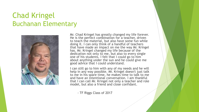#### Chad Kringel Buchanan Elementary



Mr. Chad Kringel has greatly changed my life forever. He is the perfect combination for a teacher, driven to teach the material, but also have some fun while doing it. I can only think of a handful of teachers that have made an impact on me the way Mr. Kringel has. Mr. Kringel changed my life because of the dedication not only to me, but also to every single one of his students. I felt that I could go to him about anything under the sun and he could give me good advice that I could understand.

I can still go to him with any of my needs and he will help in any way possible. Mr. Kringel doesn't just talk to me in his spare time, he makes time to talk to me and have an intentional conversation. I am thankful that I can call Mr. Kringel not only a teacher and role model, but also a friend and close confidant.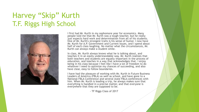#### Harvey "Skip" Kurth T.F. Riggs High School



I first had Mr. Kurth in my sophomore year for economics. Many people told me that Mr. Kurth was a tough teacher, but he really just expects hard work and determination from all of his students. One of Mr. Kurth's strongest traits is his sense of humor. I now have Mr. Kurth for A.P. Government and Current Issues, and I spend about half of each class laughing. No matter what the circumstances, Mr. Kurth can always make a student smile.

In class, Mr. Kurth always knows what he is talking about, and teaches it in an easily understandable way. Mr. Kurth realizes that both teachers and students are equally important in the process of education, and teaches in a way that acknowledges that. I enjoy being in his class because I feel like I have a lot of freedom to do whatever I need to optimize my chances of succeeding, and also have clear, easy to follow boundaries.

I have had the pleasure of working with Mr. Kurth in Future Business Leaders of America (FBLA) as well as school, and have gone to a National FBLA Conference and several state FBLA conferences with him. When Mr. Kurth is leading a trip, he always makes sure that everything is handled in a precise matter, and that everyone is everywhere that they are supposed to be.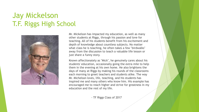# Jay Mickelson T.F. Riggs High School



Mr. Mickelson has impacted my education, as well as many other students at Riggs, through his passion and love for teaching. All of his students benefit from his excitement and depth of knowledge about countless subjects. No matter what class he is teaching, he often takes a few "birdwalks" away from the discussion to teach a valuable life lesson or just share a funny story.

Known affectionately as "Mick", he genuinely cares about his students' education, occasionally going the extra mile to help them in the evening at his own home. He also brightens the days of many at Riggs by making his rounds of the classrooms each morning to greet teachers and students alike. The way Mr. Michelson loves, life, teaching, and his students has inspired me and many others who know him. His example has encouraged me to reach higher and strive for greatness in my education and the rest of my life.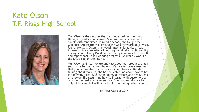#### Kate Olson T.F. Riggs High School



Mrs. Olson is the teacher that has impacted me the most through my education career. She has been my teacher a couple different times. In middle school, she taught the Computer Applications class and she was my yearbook advisor. Right now, Mrs. Olson is my youth internship advisor. Youth internship is a class where I get to go work at a public facility during school. Every Mondays and Fridays, we meet up to talk and report back to my working progress. I currently work at the Little Spa on the Prairie.

Mrs. Olson and I can relate and talk about our products that I sell. I give her recommendations. It's nice to have a teacher that you can relate to about your same interests. Besides talking about makeup, she has educated me about how to be in the work force. She listens to my questions and always has an answer. She taught me how to interact with customers to provide the best customer service. She has taught me a lot of helpful lessons that will be helpful to me in my future career.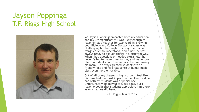# Jayson Poppinga T.F. Riggs High School



Mr. Jayson Poppinga impacted both my education and my life significantly. I was lucky enough to have him as a teacher for two years in a row, in both Biology and College Biology. His class was challenging but he taught in a way that made things easier to understand, and if not, he was always ready to explain things in a different way. When I had questions or needed extra help, he never failed to make time for me, and made sure I felt confident about the material before leaving his room. He always greeted students with a friendly face and his great sense of humor made class even more enjoyable.

Out of all of my classes in high school, I feel like his class had the most impact on me. The bond he had with his students was a special one. Unfortunately, he moved to Sioux Falls, but I have no doubt that students appreciate him there as much as we did here.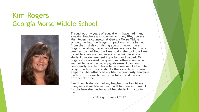#### Kim Rogers Georgia Morse Middle School



Throughout my years of education, I have had many amazing teachers and counselors in my life; however, Mrs. Rogers, a counselor at Georgia Morse Middle School, has had the biggest impact on my life by far. From the first day of sixth grade until now, Mrs. Rogers has always cared about me in a way that many teachers cannot find the time to do. She took the time to get to know me, and every other middle school student, making me feel important and valued. Mrs. Rogers always asked me questions, often asking who I wanted to be and what my goals were. I can now confidently say that I hope to be someone like her. She taught me how to care about others and how to have empathy. She influenced my life tremendously, teaching me how to live each day to the fullest and have a positive attitude.

Even though she was not my teacher, she taught me many important life lessons. I will be forever thankful for the love she has for all of her students, including me.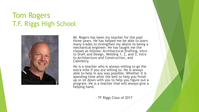### Tom Rogers T.F. Riggs High School



Mr. Rogers has been my teacher for the past three years. He has helped me be able to learn many trades to strengthen my desire to being a mechanical engineer. He has taught me the classes as follows: Architectural Drafting, Intro to Draft and Design, Welding 1, 2, and 3, Intro to Architecture and Construction, and Cabinetry.

He is a teacher who is always willing to go the extra mile if you are willing to. He is always able to help in any way possible. Whether it is spending time after the bell to help you finish up or sit down with you to help you figure out a program. He is a teacher that will always give a helping hand.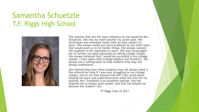# Samantha Schuetzle T.F. Riggs High School



The teacher that has the most influence on me would be Mrs. Schuetzle. She was my math teacher my junior year. Her techniques and examples made math an easy subject to learn. She always would put extra problems on our math tests that would push us to try harder things. She always wanted the students in her classroom to learn. She also encouraged me to further my math education by taking college classes. She always believed that I would be successful in my college classes. I have taken both College Algebra and Statistics. She always has a willing heart to help students that may not always understand.

She offered help even when students may not always need it. She offered her help if I was ever struggling on my college classes, and to me that showed that she truly cared about helping me learn and understand even when she was not my teacher. Mrs. Schuetzle is an excellent teacher. She has inspired me to always push myself, and that has helped me become the student I am.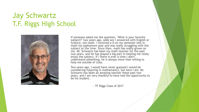#### Jay Schwartz T.F. Riggs High School



If someone asked me the question, "What is your favorite subject?" two years ago, odds are I answered with English or Science, not math. I received a D on my semester test in math my sophomore year and was really struggling with the subject at the time. Since then, math has really grown on me. Mr. Schwartz has been my math teacher for the past two years, and he has played a big part in helping me really enjoy the subject. If I there is ever a time I don't understand something, he is always more than willing to help me outside of class.

Two years ago, I would have never guessed I would be considering majoring in mathematics, but here I am. Mr. Schwartz has been an amazing teacher these past two years, and I am very thankful to have had the opportunity to be his student.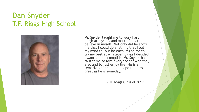#### Dan Snyder T.F. Riggs High School



Mr. Snyder taught me to work hard, laugh at myself, and most of all, to believe in myself. Not only did he show me that I could do anything that I put my mind to, but he encouraged me to try my best at whatever it was I decided I wanted to accomplish. Mr. Snyder has taught me to love everyone for who they are, and to just enjoy life. He is a remarkable man, and I hope to be as great as he is someday.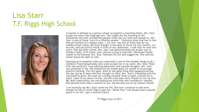### Lisa Starr T.F. Riggs High School



A teacher is defined as a person whose occupation is teaching others. Mrs. Starr taught me more than language arts. She taught me the meaning of life. Sometimes the most unexpected people come into our lives and change us. Mrs. Starr is one of those "once-in-a lifetime people." Statistics show that one in four kids are bullied on a regular basis. I, for one, was one of those kids for my middle school career. My bully thought it was okay to shove me into lockers, cut my hair, and say hurtful words in front of my classmates. I took that for over two years. One day after school, Mrs. Starr was demonstrating the proper way to handle a bully. It hit home, and I started crying so bad that I dismissed myself myself to the hallway. Mrs. Starr followed me out and hugged me. She said she would always be open to talk.

Opening up to someone when you need help is one of the hardest things to do. I needed a friend desperately who could accept me in my worst. Mrs. Starr filled that role perfectly. I was battling depression and suicidal thoughts. Mrs. Starr saw potential in me. She helped me set simple goals for myself to encourage positive thinking. The first goal: think of one good thing that happened during the day and go to bed with that thought on mind. Mrs. Starr's friendship with me continued to grow. She took me running multiple times a week, tutored me in math, came to my dance recital, and she even took me to Presho to run my first **SK.** Most importantly, she was helping me build that self-confidence I needed. She became more than a teacher to me; she became one of my closest friends.

I can honestly say Mrs. Starr saved my life. She and I continue to talk even though my life at Junior High is past me. "Mama Starr" will always hold a special place in my life. I got a second chance.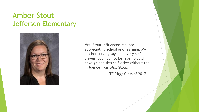#### Amber Stout Jefferson Elementary



Mrs. Stout influenced me into appreciating school and learning. My mother usually says I am very selfdriven, but I do not believe I would have gained this self-drive without the influence from Mrs. Stout.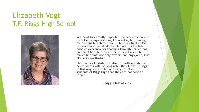# Elizabeth Vogt T.F. Riggs High School



Mrs. Vogt has greatly impacted my academic career by not only expanding my knowledge, but making me anxious to achieve more. She truly lights a fire for wisdom in her students. Her zeal for English bubbles over into her teaching through her lessons and can't help but infect her students also. She makes her class not only diverse and enjoyable, but also very worthwhile.

She teaches English, but also life skills and items her students will use long after they leave T.F Riggs. In this way she creates a lasting effect on the students of Riggs High that they are not soon to forget.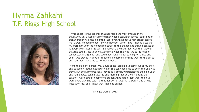# Hyrma Zahkahi T.F. Riggs High School



Hyrma Zakahi is the teacher that has made the most impact on my education. Ms. Z was first my teacher when I took high school Spanish as an eighth grader. As a little eighth grader everything about high school scared me. Zakahi helped me boost my confidence. When I had her as a teacher my freshman year she helped me adjust to the change and thrive because of it. Every year I was in Zakahi's homeroom. She said that I was the student that she could trust to take attendance when she was still at the middle school teaching Spanish and could not make it back to Riggs on time. One year I was placed in another teacher's homeroom and she went to the office and had them move me to her homeroom.

I tend to be a shy person. Ms. Z also encouraged me to come out of my shell and to some creative extracurricular. She convinced me to be in the One-Act play as an extra my first year. I loved it. I actually participated the next year and had a blast. Zakahi told me one morning that at their meeting the teachers were asked to name one student that made them want to go to work every day. She told me that her person was me. Zakahi made a huge impact on me, and I know that I had one on her.